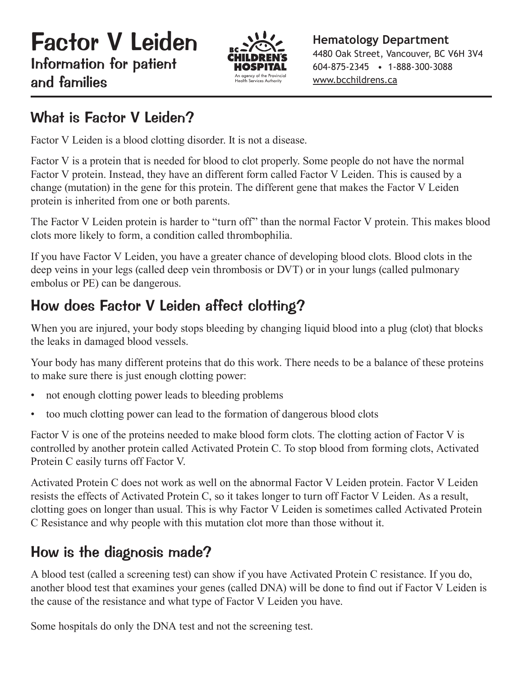

**Hematology Department** 4480 Oak Street, Vancouver, BC V6H 3V4 604-875-2345 • 1-888-300-3088 www.bcchildrens.ca

## What is Factor V Leiden?

Factor V Leiden is a blood clotting disorder. It is not a disease.

Factor V is a protein that is needed for blood to clot properly. Some people do not have the normal Factor V protein. Instead, they have an different form called Factor V Leiden. This is caused by a change (mutation) in the gene for this protein. The different gene that makes the Factor V Leiden protein is inherited from one or both parents.

The Factor V Leiden protein is harder to "turn off" than the normal Factor V protein. This makes blood clots more likely to form, a condition called thrombophilia.

If you have Factor V Leiden, you have a greater chance of developing blood clots. Blood clots in the deep veins in your legs (called deep vein thrombosis or DVT) or in your lungs (called pulmonary embolus or PE) can be dangerous.

# How does Factor V Leiden affect clotting?

When you are injured, your body stops bleeding by changing liquid blood into a plug (clot) that blocks the leaks in damaged blood vessels.

Your body has many different proteins that do this work. There needs to be a balance of these proteins to make sure there is just enough clotting power:

- not enough clotting power leads to bleeding problems
- too much clotting power can lead to the formation of dangerous blood clots

Factor V is one of the proteins needed to make blood form clots. The clotting action of Factor V is controlled by another protein called Activated Protein C. To stop blood from forming clots, Activated Protein C easily turns off Factor V.

Activated Protein C does not work as well on the abnormal Factor V Leiden protein. Factor V Leiden resists the effects of Activated Protein C, so it takes longer to turn off Factor V Leiden. As a result, clotting goes on longer than usual. This is why Factor V Leiden is sometimes called Activated Protein C Resistance and why people with this mutation clot more than those without it.

## How is the diagnosis made?

A blood test (called a screening test) can show if you have Activated Protein C resistance. If you do, another blood test that examines your genes (called DNA) will be done to find out if Factor V Leiden is the cause of the resistance and what type of Factor V Leiden you have.

Some hospitals do only the DNA test and not the screening test.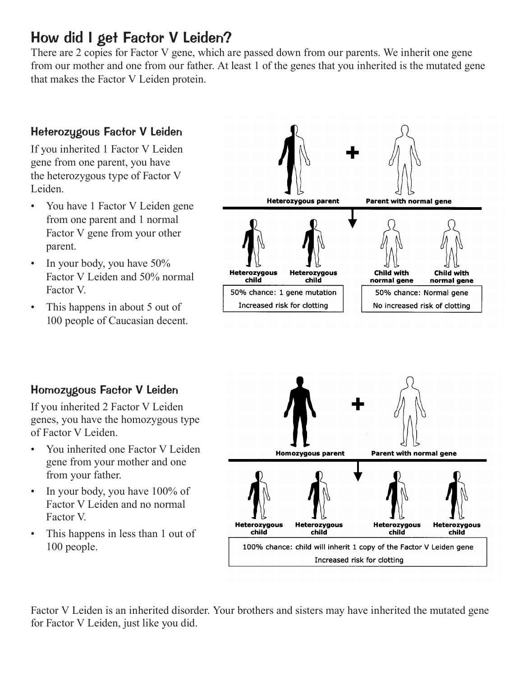#### How did I get Factor V Leiden?

There are 2 copies for Factor V gene, which are passed down from our parents. We inherit one gene from our mother and one from our father. At least 1 of the genes that you inherited is the mutated gene that makes the Factor V Leiden protein.



#### Homozygous Factor V Leiden

If you inherited 2 Factor V Leiden genes, you have the homozygous type of Factor V Leiden.

- You inherited one Factor V Leiden gene from your mother and one from your father.
- In your body, you have 100% of Factor V Leiden and no normal Factor V.
- This happens in less than 1 out of 100 people.



Factor V Leiden is an inherited disorder. Your brothers and sisters may have inherited the mutated gene for Factor V Leiden, just like you did.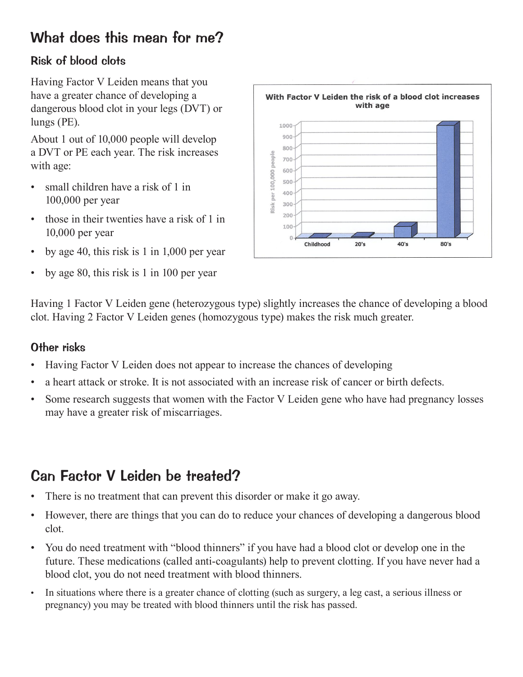## What does this mean for me?

#### Risk of blood clots

Having Factor V Leiden means that you have a greater chance of developing a dangerous blood clot in your legs (DVT) or lungs (PE).

About 1 out of 10,000 people will develop a DVT or PE each year. The risk increases with age:

- small children have a risk of 1 in 100,000 per year
- those in their twenties have a risk of 1 in 10,000 per year
- by age 40, this risk is 1 in 1,000 per year
- by age 80, this risk is 1 in 100 per year



Having 1 Factor V Leiden gene (heterozygous type) slightly increases the chance of developing a blood clot. Having 2 Factor V Leiden genes (homozygous type) makes the risk much greater.

#### Other risks

- Having Factor V Leiden does not appear to increase the chances of developing
- a heart attack or stroke. It is not associated with an increase risk of cancer or birth defects.
- Some research suggests that women with the Factor V Leiden gene who have had pregnancy losses may have a greater risk of miscarriages.

## Can Factor V Leiden be treated?

- There is no treatment that can prevent this disorder or make it go away.
- However, there are things that you can do to reduce your chances of developing a dangerous blood clot.
- You do need treatment with "blood thinners" if you have had a blood clot or develop one in the future. These medications (called anti-coagulants) help to prevent clotting. If you have never had a blood clot, you do not need treatment with blood thinners.
- In situations where there is a greater chance of clotting (such as surgery, a leg cast, a serious illness or pregnancy) you may be treated with blood thinners until the risk has passed.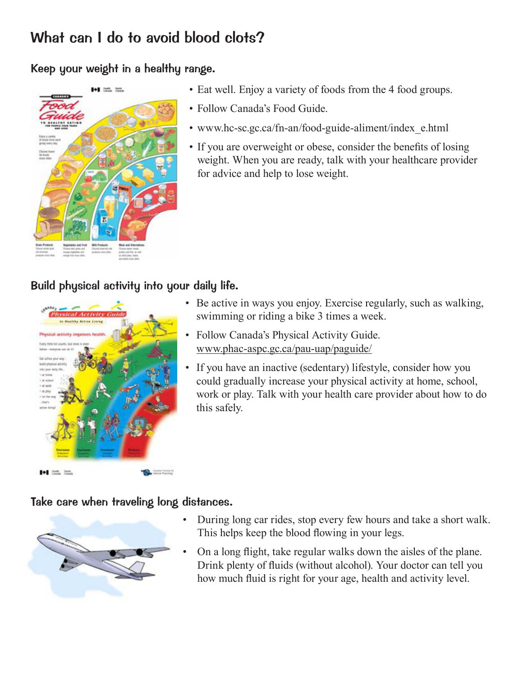## What can I do to avoid blood clots?

#### Keep your weight in a healthy range.



- Eat well. Enjoy a variety of foods from the 4 food groups.
- Follow Canada's Food Guide.
- www.hc-sc.gc.ca/fn-an/food-guide-aliment/index\_e.html
- If you are overweight or obese, consider the benefits of losing weight. When you are ready, talk with your healthcare provider for advice and help to lose weight.

#### Build physical activity into your daily life.



- Be active in ways you enjoy. Exercise regularly, such as walking, swimming or riding a bike 3 times a week.
- Follow Canada's Physical Activity Guide. www.phac-aspc.gc.ca/pau-uap/paguide/
- If you have an inactive (sedentary) lifestyle, consider how you could gradually increase your physical activity at home, school, work or play. Talk with your health care provider about how to do this safely.

#### Take care when traveling long distances.



- During long car rides, stop every few hours and take a short walk. This helps keep the blood flowing in your legs.
- On a long flight, take regular walks down the aisles of the plane. Drink plenty of fluids (without alcohol). Your doctor can tell you how much fluid is right for your age, health and activity level.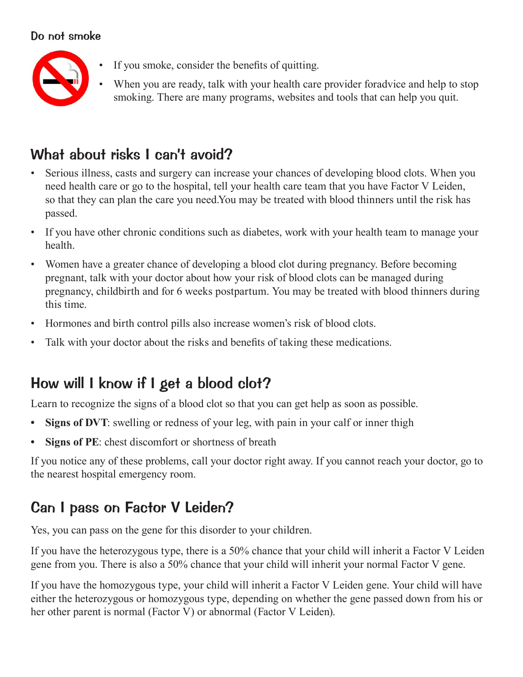#### Do not smoke



- If you smoke, consider the benefits of quitting.
- When you are ready, talk with your health care provider foradvice and help to stop smoking. There are many programs, websites and tools that can help you quit.

## What about risks I can't avoid?

- Serious illness, casts and surgery can increase your chances of developing blood clots. When you need health care or go to the hospital, tell your health care team that you have Factor V Leiden, so that they can plan the care you need.You may be treated with blood thinners until the risk has passed.
- If you have other chronic conditions such as diabetes, work with your health team to manage your health.
- Women have a greater chance of developing a blood clot during pregnancy. Before becoming pregnant, talk with your doctor about how your risk of blood clots can be managed during pregnancy, childbirth and for 6 weeks postpartum. You may be treated with blood thinners during this time.
- Hormones and birth control pills also increase women's risk of blood clots.
- Talk with your doctor about the risks and benefits of taking these medications.

## How will I know if I get a blood clot?

Learn to recognize the signs of a blood clot so that you can get help as soon as possible.

- Signs of DVT: swelling or redness of your leg, with pain in your calf or inner thigh
- **• Signs of PE**: chest discomfort or shortness of breath

If you notice any of these problems, call your doctor right away. If you cannot reach your doctor, go to the nearest hospital emergency room.

## Can I pass on Factor V Leiden?

Yes, you can pass on the gene for this disorder to your children.

If you have the heterozygous type, there is a 50% chance that your child will inherit a Factor V Leiden gene from you. There is also a 50% chance that your child will inherit your normal Factor V gene.

If you have the homozygous type, your child will inherit a Factor V Leiden gene. Your child will have either the heterozygous or homozygous type, depending on whether the gene passed down from his or her other parent is normal (Factor V) or abnormal (Factor V Leiden).